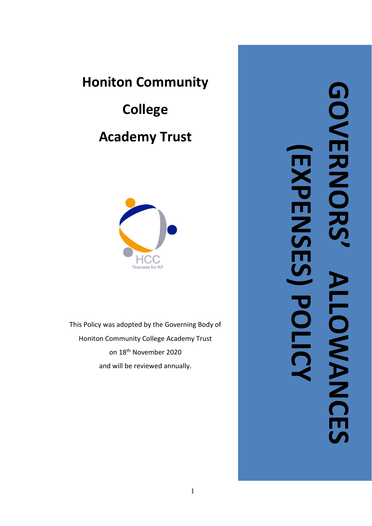## **Honiton Community**

# **College Academy Trust**



This Policy was adopted by the Governing Body of Honiton Community College Academy Trust on 18th November 2020 and will be reviewed annually.

**GOVERNORS'GONERNOR (EXPENSES) POLICYEXPENSES) POLIC ALLOWANCES ALLOWANCES**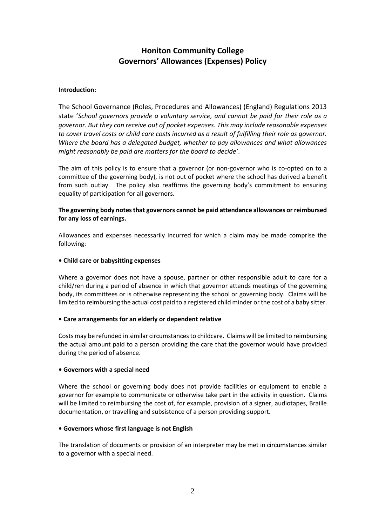### **Honiton Community College Governors' Allowances (Expenses) Policy**

#### **Introduction:**

The School Governance (Roles, Procedures and Allowances) (England) Regulations 2013 state '*School governors provide a voluntary service, and cannot be paid for their role as a governor. But they can receive out of pocket expenses. This may include reasonable expenses to cover travel costs or child care costs incurred as a result of fulfilling their role as governor. Where the board has a delegated budget, whether to pay allowances and what allowances might reasonably be paid are matters for the board to decide'*.

The aim of this policy is to ensure that a governor (or non-governor who is co-opted on to a committee of the governing body), is not out of pocket where the school has derived a benefit from such outlay. The policy also reaffirms the governing body's commitment to ensuring equality of participation for all governors.

#### **The governing body notes that governors cannot be paid attendance allowances or reimbursed for any loss of earnings.**

Allowances and expenses necessarily incurred for which a claim may be made comprise the following:

#### **• Child care or babysitting expenses**

Where a governor does not have a spouse, partner or other responsible adult to care for a child/ren during a period of absence in which that governor attends meetings of the governing body, its committees or is otherwise representing the school or governing body. Claims will be limited to reimbursing the actual cost paid to a registered child minder or the cost of a baby sitter.

#### **• Care arrangements for an elderly or dependent relative**

Costs may be refunded in similar circumstances to childcare. Claims will be limited to reimbursing the actual amount paid to a person providing the care that the governor would have provided during the period of absence.

#### **• Governors with a special need**

Where the school or governing body does not provide facilities or equipment to enable a governor for example to communicate or otherwise take part in the activity in question. Claims will be limited to reimbursing the cost of, for example, provision of a signer, audiotapes, Braille documentation, or travelling and subsistence of a person providing support.

#### **• Governors whose first language is not English**

The translation of documents or provision of an interpreter may be met in circumstances similar to a governor with a special need.